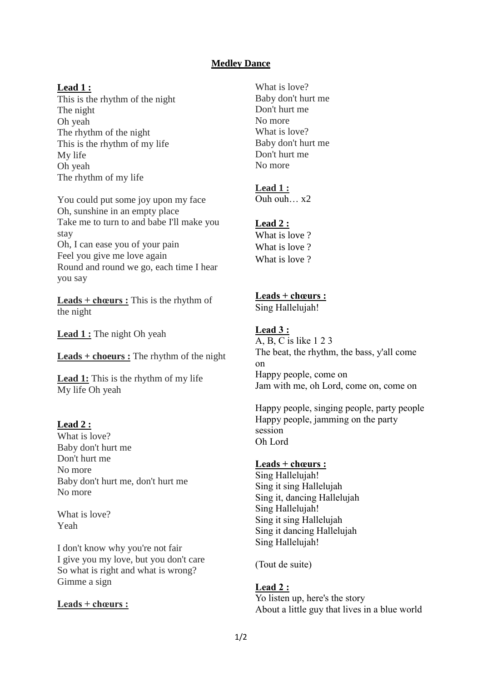# **Medley Dance**

# **Lead 1 :**

This is the rhythm of the night The night Oh yeah The rhythm of the night This is the rhythm of my life My life Oh yeah The rhythm of my life

You could put some joy upon my face Oh, sunshine in an empty place Take me to turn to and babe I'll make you stay Oh, I can ease you of your pain Feel you give me love again Round and round we go, each time I hear you say

**Leads + chœurs :** This is the rhythm of the night

**Lead 1 :** The night Oh yeah

**Leads + choeurs :** The rhythm of the night

**Lead 1:** This is the rhythm of my life My life Oh yeah

## **Lead 2 :**

What is love? Baby don't hurt me Don't hurt me No more Baby don't hurt me, don't hurt me No more

What is love? Yeah

I don't know why you're not fair I give you my love, but you don't care So what is right and what is wrong? Gimme a sign

## **Leads + chœurs :**

What is love? Baby don't hurt me Don't hurt me No more What is love? Baby don't hurt me Don't hurt me No more

### **Lead 1 :**

Ouh ouh… x2

### **Lead 2 :**

What is love ? What is love ? What is love ?

## **Leads + chœurs :**

Sing Hallelujah!

### **Lead 3 :**

A, B, C is like 1 2 3 The beat, the rhythm, the bass, y'all come on Happy people, come on Jam with me, oh Lord, come on, come on

Happy people, singing people, party people Happy people, jamming on the party session Oh Lord

#### **Leads + chœurs :**

Sing Hallelujah! Sing it sing Hallelujah Sing it, dancing Hallelujah Sing Hallelujah! Sing it sing Hallelujah Sing it dancing Hallelujah Sing Hallelujah!

(Tout de suite)

#### **Lead 2 :**

Yo listen up, here's the story About a little guy that lives in a blue world